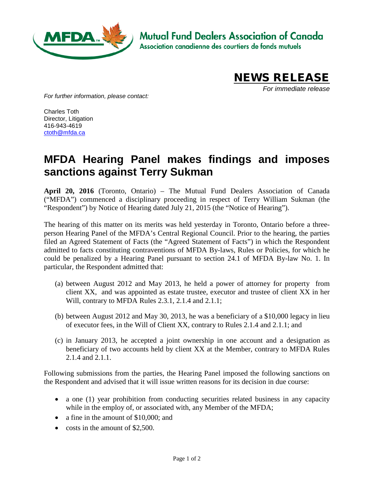

**Mutual Fund Dealers Association of Canada** 

Association canadienne des courtiers de fonds mutuels



*For immediate release*

*For further information, please contact:*

Charles Toth Director, Litigation 416-943-4619 [ctoth@mfda.ca](mailto:ctoth@mfda.ca)

## **MFDA Hearing Panel makes findings and imposes sanctions against Terry Sukman**

**April 20, 2016** (Toronto, Ontario) – The Mutual Fund Dealers Association of Canada ("MFDA") commenced a disciplinary proceeding in respect of Terry William Sukman (the "Respondent") by Notice of Hearing dated July 21, 2015 (the "Notice of Hearing").

The hearing of this matter on its merits was held yesterday in Toronto, Ontario before a threeperson Hearing Panel of the MFDA's Central Regional Council. Prior to the hearing, the parties filed an Agreed Statement of Facts (the "Agreed Statement of Facts") in which the Respondent admitted to facts constituting contraventions of MFDA By-laws, Rules or Policies, for which he could be penalized by a Hearing Panel pursuant to section 24.1 of MFDA By-law No. 1. In particular, the Respondent admitted that:

- (a) between August 2012 and May 2013, he held a power of attorney for property from client XX, and was appointed as estate trustee, executor and trustee of client XX in her Will, contrary to MFDA Rules 2.3.1, 2.1.4 and 2.1.1;
- (b) between August 2012 and May 30, 2013, he was a beneficiary of a \$10,000 legacy in lieu of executor fees, in the Will of Client XX, contrary to Rules 2.1.4 and 2.1.1; and
- (c) in January 2013, he accepted a joint ownership in one account and a designation as beneficiary of two accounts held by client XX at the Member, contrary to MFDA Rules 2.1.4 and 2.1.1.

Following submissions from the parties, the Hearing Panel imposed the following sanctions on the Respondent and advised that it will issue written reasons for its decision in due course:

- a one (1) year prohibition from conducting securities related business in any capacity while in the employ of, or associated with, any Member of the MFDA;
- a fine in the amount of \$10,000; and
- costs in the amount of \$2,500.